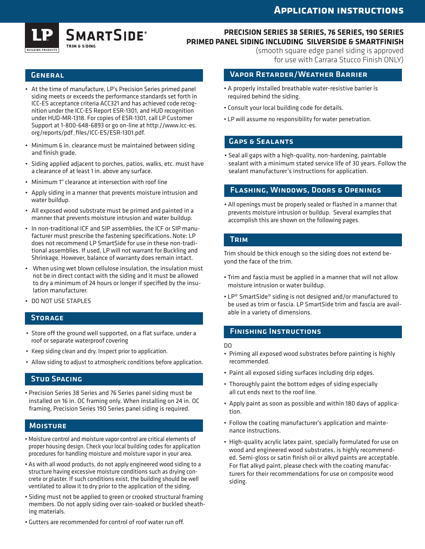## **Application instructions**



### **precision series 38 series, 76 series, 190 series primed panel siding Including SilverSide & SmartFinish**

**GENERAL** 

- • At the time of manufacture, LP's Precision Series primed panel siding meets or exceeds the performance standards set forth in ICC-ES acceptance criteria ACC321 and has achieved code recognition under the ICC-ES Report ESR-1301, and HUD recognition under HUD-MR-1318. For copies of ESR-1301, call LP Customer Support at 1-800-648-6893 or go on-line at http://www.icc-es. org/reports/pdf\_files/ICC-ES/ESR-1301.pdf.
- • Minimum 6 in. clearance must be maintained between siding and finish grade.
- • Siding applied adjacent to porches, patios, walks, etc. must have a clearance of at least 1 in. above any surface.
- • Minimum 1" clearance at intersection with roof line
- • Apply siding in a manner that prevents moisture intrusion and water buildup.
- • All exposed wood substrate must be primed and painted in a manner that prevents moisture intrusion and water buildup.
- In non-traditional ICF and SIP assemblies, the ICF or SIP manufacturer must prescribe the fastening specifications. Note: LP does not recommend LP SmartSide for use in these non-traditional assemblies. If used, LP will not warrant for Buckling and Shrinkage. However, balance of warranty does remain intact.
- • When using wet blown cellulose insulation, the insulation must not be in direct contact with the siding and it must be allowed to dry a minimum of 24 hours or longer if specified by the insulation manufacturer.
- • DO NOT USE STAPLES

## **STORAGE**

- Store off the ground well supported, on a flat surface, under a roof or separate waterproof covering
- • Keep siding clean and dry. Inspect prior to application.
- • Allow siding to adjust to atmospheric conditions before application.

### Stud Spacing

• Precision Series 38 Series and 76 Series panel siding must be installed on 16 in. OC framing only. When installing on 24 in. OC framing, Precision Series 190 Series panel siding is required.

### **MOISTURE**

- Moisture control and moisture vapor control are critical elements of proper housing design. Check your local building codes for application procedures for handling moisture and moisture vapor in your area.
- As with all wood products, do not apply engineered wood siding to a structure having excessive moisture conditions such as drying concrete or plaster. If such conditions exist, the building should be well ventilated to allow it to dry prior to the application of the siding.
- Siding must not be applied to green or crooked structural framing members. Do not apply siding over rain-soaked or buckled sheathing materials.
- Gutters are recommended for control of roof water run off.

(smooth square edge panel siding is approved for use with Carrara Stucco Finish ONLY)

### Vapor Retarder/Weather Barrier

- A properly installed breathable water-resistive barrier is required behind the siding.
- Consult your local building code for details.
- LP will assume no responsibility for water penetration.

### Gaps & Sealants

• Seal all gaps with a high-quality, non-hardening, paintable sealant with a minimum stated service life of 30 years. Follow the sealant manufacturer's instructions for application.

### Flashing, Windows, Doors & Openings

• All openings must be properly sealed or flashed in a manner that prevents moisture intrusion or buildup. Several examples that accomplish this are shown on the following pages.

### **TRIM**

Trim should be thick enough so the siding does not extend beyond the face of the trim.

- Trim and fascia must be applied in a manner that will not allow moisture intrusion or water buildup.
- LP® SmartSide® siding is not designed and/or manufactured to be used as trim or fascia. LP SmartSide trim and fascia are available in a variety of dimensions.

### Finishing Instructions

#### DO

- Priming all exposed wood substrates before painting is highly recommended.
- Paint all exposed siding surfaces including drip edges.
- Thoroughly paint the bottom edges of siding especially all cut ends next to the roof line.
- Apply paint as soon as possible and within 180 days of application.
- Follow the coating manufacturer's application and maintenance instructions.
- High-quality acrylic latex paint, specially formulated for use on wood and engineered wood substrates, is highly recommended. Semi-gloss or satin finish oil or alkyd paints are acceptable. For flat alkyd paint, please check with the coating manufacturers for their recommendations for use on composite wood siding.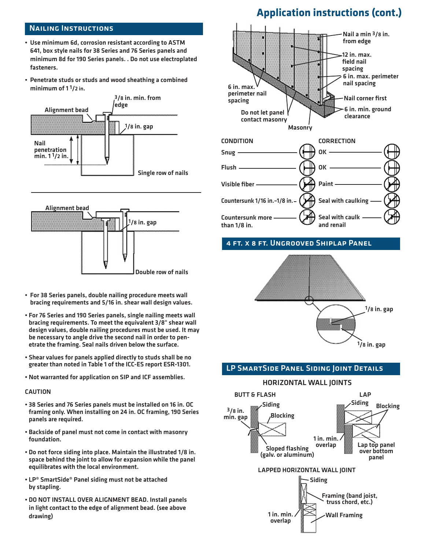### Nailing Instructions

- Use minimum 6d, corrosion resistant according to ASTM 641, box style nails for 38 Series and 76 Series panels and minimum 8d for 190 Series panels. . Do not use electroplated fasteners.
- Penetrate studs or studs and wood sheathing a combined minimum of 1 1/2 in.





- For 38 Series panels, double nailing procedure meets wall bracing requirements and 5/16 in. shear wall design values.
- For 76 Series and 190 Series panels, single nailing meets wall bracing requirements. To meet the equivalent 3/8" shear wall design values, double nailing procedures must be used. It may be necessary to angle drive the second nail in order to penetrate the framing. Seal nails driven below the surface.
- Shear values for panels applied directly to studs shall be no greater than noted in Table 1 of the ICC-ES report ESR-1301.
- Not warranted for application on SIP and ICF assemblies.

#### CAUTION

- 38 Series and 76 Series panels must be installed on 16 in. OC framing only. When installing on 24 in. OC framing, 190 Series panels are required.
- Backside of panel must not come in contact with masonry foundation.
- Do not force siding into place. Maintain the illustrated 1/8 in. space behind the joint to allow for expansion while the panel equilibrates with the local environment.
- LP® SmartSide® Panel siding must not be attached by stapling.
- DO NOT INSTALL OVER ALIGNMENT BEAD. Install panels in light contact to the edge of alignment bead. (see above drawing)

## **Application instructions (cont.)**



### 4 ft. x 8 ft. Ungrooved Shiplap Panel



## LP SmartSide Panel Siding Joint Details

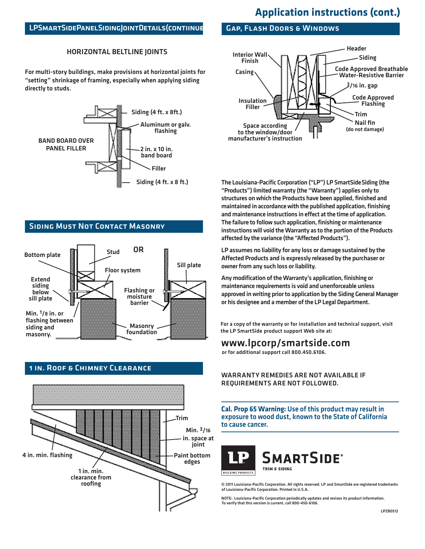## **Application instructions (cont.)**

### LPSMARTSIDEPANELSIDING JOINT DETAILS (CONTIINUE

### HORIZONTAL beltline joints

For multi-story buildings, make provisions at horizontal joints for "setting" shrinkage of framing, especially when applying siding directly to studs.



## Siding Must Not Contact Masonry





## 1 in. Roof & Chimney Clearance

### Gap, Flash Doors & Windows



The Louisiana-Pacific Corporation ("LP") LP SmartSide Siding (the "Products") limited warranty (the "Warranty") applies only to structures on which the Products have been applied, finished and maintained in accordance with the published application, finishing and maintenance instructions in effect at the time of application. The failure to follow such application, finishing or maintenance instructions will void the Warranty as to the portion of the Products affected by the variance (the "Affected Products").

LP assumes no liability for any loss or damage sustained by the Affected Products and is expressly released by the purchaser or owner from any such loss or liability.

Any modification of the Warranty's application, finishing or maintenance requirements is void and unenforceable unless approved in writing prior to application by the Siding General Manager or his designee and a member of the LP Legal Department.

For a copy of the warranty or for installation and technical support, visit the LP SmartSide product support Web site at:

## www.lpcorp/smartside.com

or for additional support call 800.450.6106.

Warranty remedies are not available if requirements are not followed.

**Cal. Prop 65 Warning:** Use of this product may result in exposure to wood dust, known to the State of California to cause cancer.



**SMARTSIDE®** TRIM & SIDING

**BUILDING PRODUCTS** 

© 2011 Louisiana-Pacific Corporation. All rights reserved. LP and SmartSide are registered trademarks of Louisiana-Pacific Corporation. Printed in U.S.A.

NOTE: Louisiana-Pacific Corporation periodically updates and revises its product information. To verify that this version is current, call 800-450-6106.